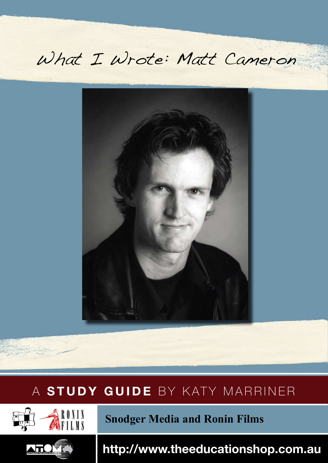# What I Wrote: Matt Cameron



## A **STUDY GUIDE** by KATY MARRINER A **STUDY GUIDE** BY KATY MARRINER





 **Snodger Media and Ronin Films**

 **http://www.theeducationshop.com.au**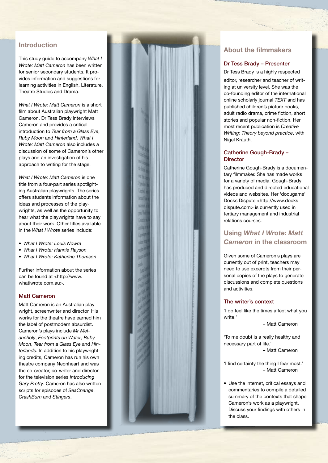### **Introduction**

This study guide to accompany *What I Wrote: Matt Cameron* has been written for senior secondary students. It pro vides information and suggestions for learning activities in English, Literature, Theatre Studies and Drama.

*What I Wrote: Matt Cameron* is a short film about Australian playwright Matt Cameron. Dr Tess Brady interviews Cameron and provides a critical introduction to *Tear from a Glass Eye*, *Ruby Moon* and *Hinterland*. *What I Wrote: Matt Cameron* also includes a discussion of some of Cameron's other plays and an investigation of his approach to writing for the stage.

*What I Wrote: Matt Cameron* is one title from a four-part series spotlight ing Australian playwrights. The series offers students information about the ideas and processes of the play wrights, as well as the opportunity to hear what the playwrights have to say about their work. Other titles available in the *What I Wrote* series include:

- • *What I Wrote: Louis Nowra*
- • *What I Wrote: Hannie Rayson*
- • *What I Wrote: Katherine Thomson*

Further information about the series can be found at <http://www. whatiwrote.com.au>.

#### Matt Cameron

Matt Cameron is an Australian play wright, screenwriter and director. His works for the theatre have earned him the label of postmodern absurdist. Cameron's plays include *Mr Mel ancholy*, *Footprints on Water*, *Ruby Moon*, *Tear from a Glass Eye* and *Hin terlands*. In addition to his playwright ing credits, Cameron has run his own theatre company Neonheart and was the co-creator, co-writer and director for the television series *Introducing Gary Pretty*. Cameron has also written scripts for episodes of *SeaChange*, *CrashBurn* and *Stingers* .



### **About the filmmakers**

#### Dr Tess Brady – Presenter

Dr Tess Brady is a highly respected editor, researcher and teacher of writ ing at university level. She was the co-founding editor of the international online scholarly journal *TEXT* and has published children's picture books, adult radio drama, crime fiction, short stories and popular non-fiction. Her most recent publication is *Creative Writing: Theory beyond practice*, with Nigel Krauth.

#### Catherine Gough-Brady – **Director**

Catherine Gough-Brady is a documen tary filmmaker. She has made works for a variety of media. Gough-Brady has produced and directed educational videos and websites. Her 'docugame' Docks Dispute <http://www.docks dispute.com> is currently used in tertiary management and industrial relations courses.

### **Using** *What I Wrote: Matt Cameron* **in the classroom**

Given some of Cameron's plays are currently out of print, teachers may need to use excerpts from their personal copies of the plays to generate discussions and complete questions and activities.

#### The writer's context

'I do feel like the times affect what you write<sup>'</sup>

– Matt Cameron

'To me doubt is a really healthy and necessary part of life.'

– Matt Cameron

'I find certainty the thing I fear most.' – Matt Cameron

• Use the internet, critical essays and commentaries to compile a detailed summary of the contexts that shape Cameron's work as a playwright. Discuss your findings with others in the class.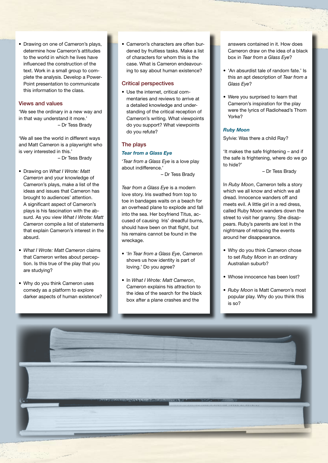• Drawing on one of Cameron's plays, determine how Cameron's attitudes to the world in which he lives have influenced the construction of the text. Work in a small group to complete the analysis. Develop a Power-Point presentation to communicate this information to the class.

#### Views and values

'We see the ordinary in a new way and in that way understand it more.' – Dr Tess Brady

'We all see the world in different ways and Matt Cameron is a playwright who is very interested in this.'

– Dr Tess Brady

- • Drawing on *What I Wrote: Matt Cameron* and your knowledge of Cameron's plays, make a list of the ideas and issues that Cameron has brought to audiences' attention. A significant aspect of Cameron's plays is his fascination with the absurd. As you view *What I Wrote: Matt Cameron* compile a list of statements that explain Cameron's interest in the absurd.
- • *What I Wrote: Matt Cameron* claims that Cameron writes about perception. Is this true of the play that you are studying?
- Why do you think Cameron uses comedy as a platform to explore darker aspects of human existence?

Cameron's characters are often burdened by fruitless tasks. Make a list of characters for whom this is the case. What is Cameron endeavouring to say about human existence?

#### Critical perspectives

• Use the internet, critical commentaries and reviews to arrive at a detailed knowledge and understanding of the critical reception of Cameron's writing. What viewpoints do you support? What viewpoints do you refute?

#### The plays

#### *Tear from a Glass Eye*

'*Tear from a Glass Eye* is a love play about indifference.'

– Dr Tess Brady

*Tear from a Glass Eye* is a modern love story. Iris swathed from top to toe in bandages waits on a beach for an overhead plane to explode and fall into the sea. Her boyfriend Titus, accused of causing Iris' dreadful burns, should have been on that flight, but his remains cannot be found in the wreckage.

- • '*In Tear from a Glass Eye*, Cameron shows us how identity is part of loving.' Do you agree?
- • In *What I Wrote: Matt Cameron*, Cameron explains his attraction to the idea of the search for the black box after a plane crashes and the

answers contained in it. How does Cameron draw on the idea of a black box in *Tear from a Glass Eye*?

- 'An absurdist tale of random fate.' Is this an apt description of *Tear from a Glass Eye*?
- Were you surprised to learn that Cameron's inspiration for the play were the lyrics of Radiohead's Thom Yorke?

#### *Ruby Moon*

Sylvie: Was there a child Ray?

'It makes the safe frightening – and if the safe is frightening, where do we go to hide?'

– Dr Tess Brady

In *Ruby Moon*, Cameron tells a story which we all know and which we all dread. Innocence wanders off and meets evil. A little girl in a red dress, called Ruby Moon wanders down the street to visit her granny. She disappears. Ruby's parents are lost in the nightmare of retracing the events around her disappearance.

- Why do you think Cameron chose to set *Ruby Moon* in an ordinary Australian suburb?
- Whose innocence has been lost?
- Ruby Moon is Matt Cameron's most popular play. Why do you think this is so?

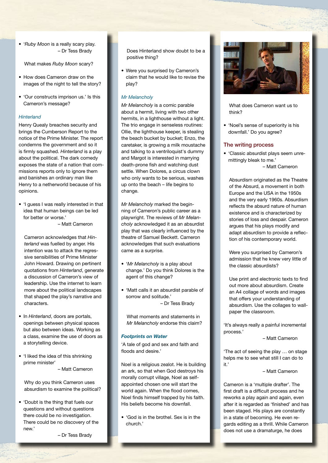• '*Ruby Moon* is a really scary play. – Dr Tess Brady

What makes *Ruby Moon* scary?

- How does Cameron draw on the images of the night to tell the story?
- 'Our constructs imprison us.' Is this Cameron's message?

#### *Hinterland*

Henry Quealy breaches security and brings the Cumberson Report to the notice of the Prime Minister. The report condemns the government and so it is firmly squashed. *Hinterland* is a play about the political. The dark comedy exposes the state of a nation that commissions reports only to ignore them and banishes an ordinary man like Henry to a netherworld because of his opinions.

• 'I guess I was really interested in that idea that human beings can be led for better or worse.'

– Matt Cameron

Cameron acknowledges that *Hinterland* was fuelled by anger. His intention was to attack the regressive sensibilities of Prime Minister John Howard. Drawing on pertinent quotations from *Hinterland*, generate a discussion of Cameron's view of leadership. Use the internet to learn more about the political landscapes that shaped the play's narrative and characters.

- • In *Hinterland*, doors are portals, openings between physical spaces but also between ideas. Working as a class, examine the use of doors as a storytelling device.
- 'I liked the idea of this shrinking prime minister' – Matt Cameron

Why do you think Cameron uses absurdism to examine the political?

• 'Doubt is the thing that fuels our questions and without questions there could be no investigation. There could be no discovery of the new.'

– Dr Tess Brady

Does Hinterland show doubt to be a positive thing?

• Were you surprised by Cameron's claim that he would like to revise the play?

#### *Mr Melancholy*

*Mr Melancholy* is a comic parable about a hermit, living with two other hermits, in a lighthouse without a light. The trio engage in senseless routines: Ollie, the lighthouse keeper, is stealing the beach bucket by bucket; Enzo, the caretaker, is growing a milk moustache and talking to a ventriloquist's dummy and Margot is interested in marrying death-prone fish and watching dust settle. When Dolores, a circus clown who only wants to be serious, washes up onto the beach – life begins to change.

*Mr Melancholy* marked the beginning of Cameron's public career as a playwright. The reviews of *Mr Melancholy* acknowledged it as an absurdist play that was clearly influenced by the theatre of Samuel Beckett. Cameron acknowledges that such evaluations came as a surprise.

- • '*Mr Melancholy* is a play about change.' Do you think Dolores is the agent of this change?
- 'Matt calls it an absurdist parable of sorrow and solitude.' – Dr Tess Brady

What moments and statements in *Mr Melancholy* endorse this claim?

#### *Footprints on Water*

'A tale of god and sex and faith and floods and desire.'

Noel is a religious zealot. He is building an ark, so that when God destroys his morally corrupt village, Noel as selfappointed chosen one will start the world again. When the flood comes, Noel finds himself trapped by his faith. His beliefs become his downfall.

• 'God is in the brothel. Sex is in the church.'



What does Cameron want us to think?

• 'Noel's sense of superiority is his downfall.' Do you agree?

#### The writing process

• 'Classic absurdist plays seem unremittingly bleak to me.'

– Matt Cameron

Absurdism originated as the Theatre of the Absurd, a movement in both Europe and the USA in the 1950s and the very early 1960s. Absurdism reflects the absurd nature of human existence and is characterized by stories of loss and despair. Cameron argues that his plays modify and adapt absurdism to provide a reflection of his contemporary world.

Were you surprised by Cameron's admission that he knew very little of the classic absurdists?

Use print and electronic texts to find out more about absurdism. Create an A4 collage of words and images that offers your understanding of absurdism. Use the collages to wallpaper the classroom.

'It's always really a painful incremental process.'

– Matt Cameron

'The act of seeing the play … on stage helps me to see what still I can do to it.'

– Matt Cameron

Cameron is a 'multiple drafter'. The first draft is a difficult process and he reworks a play again and again, even after it is regarded as 'finished' and has been staged. His plays are constantly in a state of becoming. He even regards editing as a thrill. While Cameron does not use a dramaturge, he does